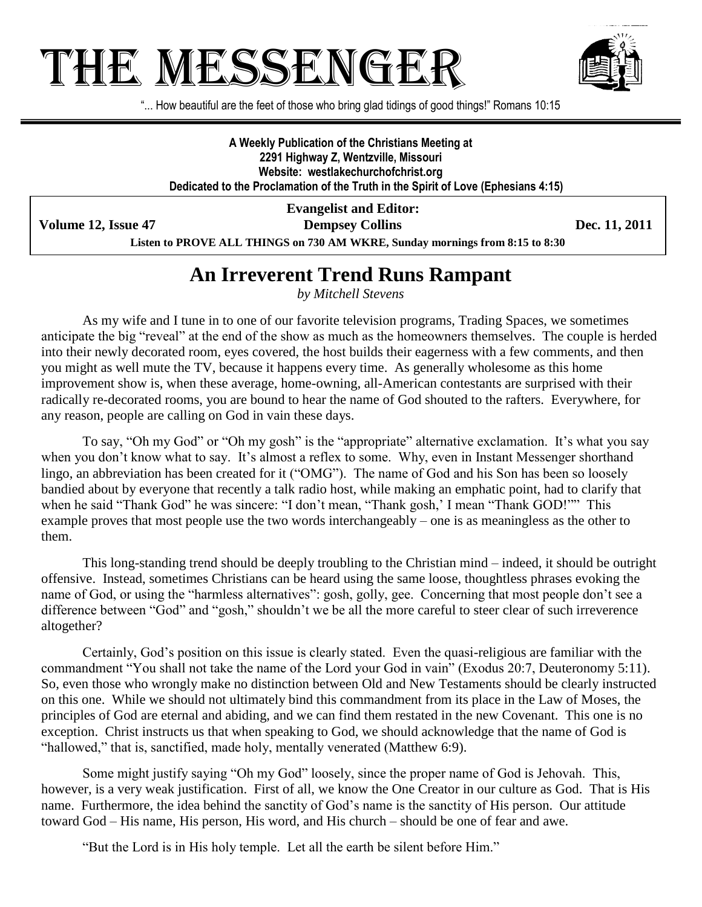# THE MESSENGE!



"... How beautiful are the feet of those who bring glad tidings of good things!" Romans 10:15

**A Weekly Publication of the Christians Meeting at 2291 Highway Z, Wentzville, Missouri Website: westlakechurchofchrist.org Dedicated to the Proclamation of the Truth in the Spirit of Love (Ephesians 4:15)**

**Volume 12, Issue 47 Dempsey Collins Dec. 11, 2011**

**Evangelist and Editor:**

**Listen to PROVE ALL THINGS on 730 AM WKRE, Sunday mornings from 8:15 to 8:30**

### **An Irreverent Trend Runs Rampant**

*by Mitchell Stevens*

As my wife and I tune in to one of our favorite television programs, Trading Spaces, we sometimes anticipate the big "reveal" at the end of the show as much as the homeowners themselves. The couple is herded into their newly decorated room, eyes covered, the host builds their eagerness with a few comments, and then you might as well mute the TV, because it happens every time. As generally wholesome as this home improvement show is, when these average, home-owning, all-American contestants are surprised with their radically re-decorated rooms, you are bound to hear the name of God shouted to the rafters. Everywhere, for any reason, people are calling on God in vain these days.

To say, "Oh my God" or "Oh my gosh" is the "appropriate" alternative exclamation. It's what you say when you don't know what to say. It's almost a reflex to some. Why, even in Instant Messenger shorthand lingo, an abbreviation has been created for it ("OMG"). The name of God and his Son has been so loosely bandied about by everyone that recently a talk radio host, while making an emphatic point, had to clarify that when he said "Thank God" he was sincere: "I don't mean, "Thank gosh,' I mean "Thank GOD!"" This example proves that most people use the two words interchangeably – one is as meaningless as the other to them.

This long-standing trend should be deeply troubling to the Christian mind – indeed, it should be outright offensive. Instead, sometimes Christians can be heard using the same loose, thoughtless phrases evoking the name of God, or using the "harmless alternatives": gosh, golly, gee. Concerning that most people don't see a difference between "God" and "gosh," shouldn't we be all the more careful to steer clear of such irreverence altogether?

Certainly, God's position on this issue is clearly stated. Even the quasi-religious are familiar with the commandment "You shall not take the name of the Lord your God in vain" (Exodus 20:7, Deuteronomy 5:11). So, even those who wrongly make no distinction between Old and New Testaments should be clearly instructed on this one. While we should not ultimately bind this commandment from its place in the Law of Moses, the principles of God are eternal and abiding, and we can find them restated in the new Covenant. This one is no exception. Christ instructs us that when speaking to God, we should acknowledge that the name of God is "hallowed," that is, sanctified, made holy, mentally venerated (Matthew 6:9).

Some might justify saying "Oh my God" loosely, since the proper name of God is Jehovah. This, however, is a very weak justification. First of all, we know the One Creator in our culture as God. That is His name. Furthermore, the idea behind the sanctity of God's name is the sanctity of His person. Our attitude toward God – His name, His person, His word, and His church – should be one of fear and awe.

"But the Lord is in His holy temple. Let all the earth be silent before Him."